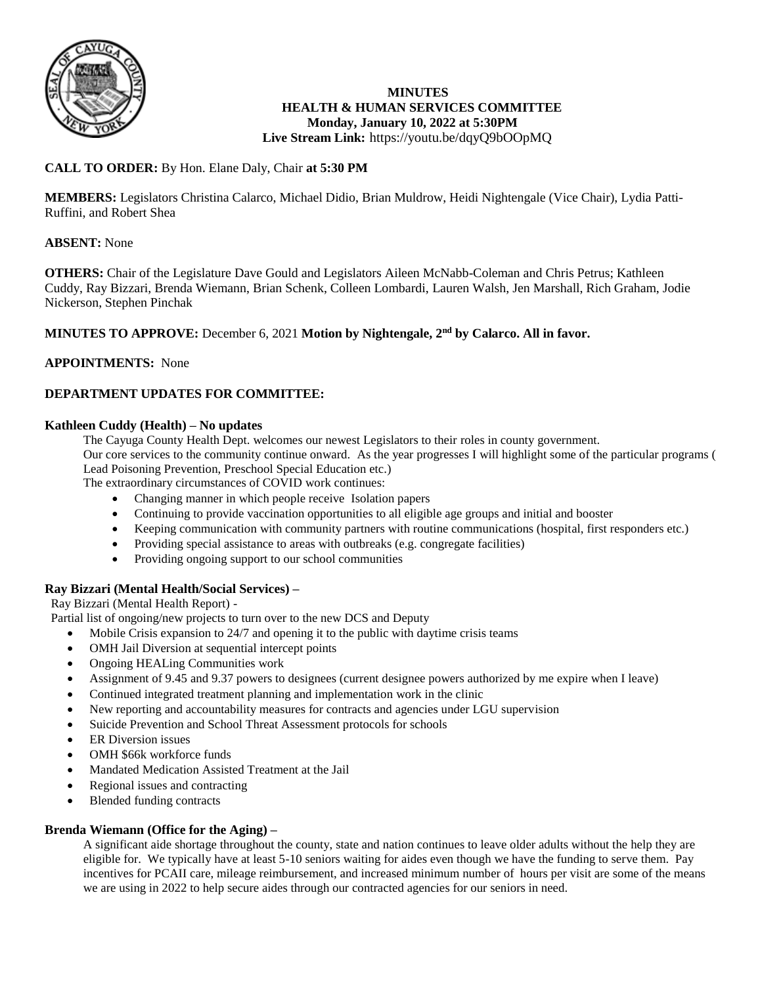

### **MINUTES HEALTH & HUMAN SERVICES COMMITTEE Monday, January 10, 2022 at 5:30PM Live Stream Link:** <https://youtu.be/dqyQ9bOOpMQ>

# **CALL TO ORDER:** By Hon. Elane Daly, Chair **at 5:30 PM**

**MEMBERS:** Legislators Christina Calarco, Michael Didio, Brian Muldrow, Heidi Nightengale (Vice Chair), Lydia Patti-Ruffini, and Robert Shea

## **ABSENT:** None

**OTHERS:** Chair of the Legislature Dave Gould and Legislators Aileen McNabb-Coleman and Chris Petrus; Kathleen Cuddy, Ray Bizzari, Brenda Wiemann, Brian Schenk, Colleen Lombardi, Lauren Walsh, Jen Marshall, Rich Graham, Jodie Nickerson, Stephen Pinchak

## **MINUTES TO APPROVE:** December 6, 2021 **Motion by Nightengale, 2nd by Calarco. All in favor.**

### **APPOINTMENTS:** None

## **DEPARTMENT UPDATES FOR COMMITTEE:**

### **Kathleen Cuddy (Health) – No updates**

The Cayuga County Health Dept. welcomes our newest Legislators to their roles in county government. Our core services to the community continue onward. As the year progresses I will highlight some of the particular programs ( Lead Poisoning Prevention, Preschool Special Education etc.)

The extraordinary circumstances of COVID work continues:

- Changing manner in which people receive Isolation papers
- Continuing to provide vaccination opportunities to all eligible age groups and initial and booster
- Keeping communication with community partners with routine communications (hospital, first responders etc.)
- Providing special assistance to areas with outbreaks (e.g. congregate facilities)
- Providing ongoing support to our school communities

## **Ray Bizzari (Mental Health/Social Services) –**

Ray Bizzari (Mental Health Report) -

Partial list of ongoing/new projects to turn over to the new DCS and Deputy

- Mobile Crisis expansion to 24/7 and opening it to the public with daytime crisis teams
- OMH Jail Diversion at sequential intercept points
- Ongoing HEALing Communities work
- Assignment of 9.45 and 9.37 powers to designees (current designee powers authorized by me expire when I leave)
- Continued integrated treatment planning and implementation work in the clinic
- New reporting and accountability measures for contracts and agencies under LGU supervision
- Suicide Prevention and School Threat Assessment protocols for schools
- ER Diversion issues
- OMH \$66k workforce funds
- Mandated Medication Assisted Treatment at the Jail
- Regional issues and contracting
- Blended funding contracts

# **Brenda Wiemann (Office for the Aging) –**

A significant aide shortage throughout the county, state and nation continues to leave older adults without the help they are eligible for. We typically have at least 5-10 seniors waiting for aides even though we have the funding to serve them. Pay incentives for PCAII care, mileage reimbursement, and increased minimum number of hours per visit are some of the means we are using in 2022 to help secure aides through our contracted agencies for our seniors in need.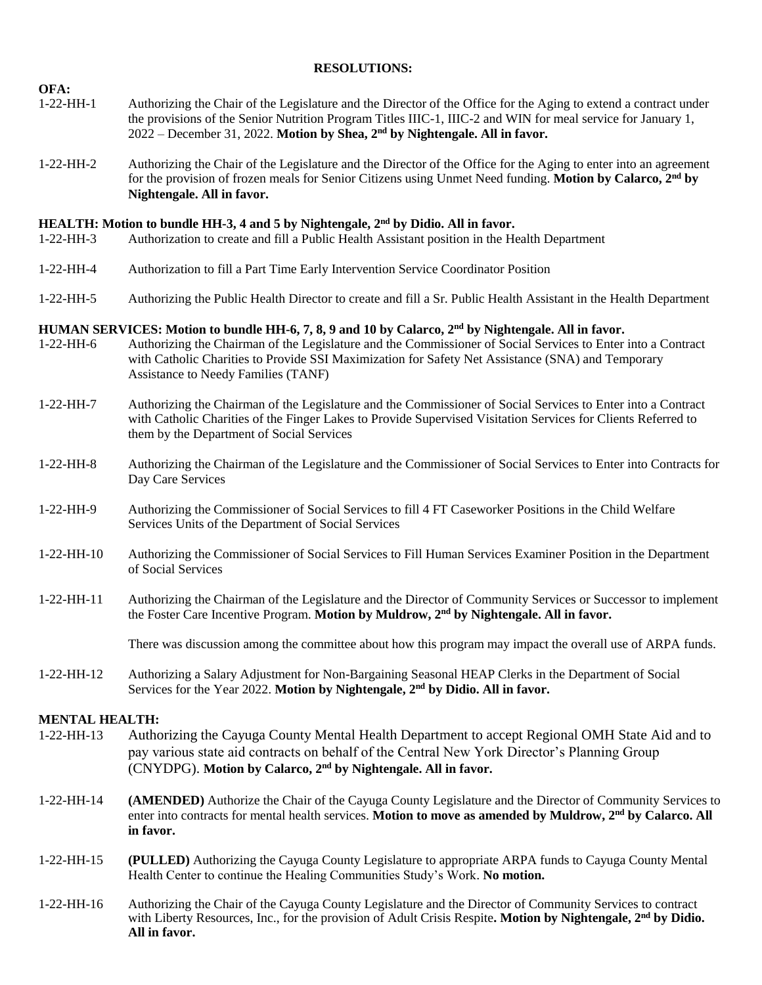### **RESOLUTIONS:**

- 1-22-HH-1 Authorizing the Chair of the Legislature and the Director of the Office for the Aging to extend a contract under the provisions of the Senior Nutrition Program Titles IIIC-1, IIIC-2 and WIN for meal service for January 1, 2022 – December 31, 2022. **Motion by Shea, 2nd by Nightengale. All in favor.**
- 1-22-HH-2 Authorizing the Chair of the Legislature and the Director of the Office for the Aging to enter into an agreement for the provision of frozen meals for Senior Citizens using Unmet Need funding. **Motion by Calarco, 2nd by Nightengale. All in favor.**

### **HEALTH: Motion to bundle HH-3, 4 and 5 by Nightengale, 2nd by Didio. All in favor.**

- 1-22-HH-3 Authorization to create and fill a Public Health Assistant position in the Health Department
- 1-22-HH-4 Authorization to fill a Part Time Early Intervention Service Coordinator Position
- 1-22-HH-5 Authorizing the Public Health Director to create and fill a Sr. Public Health Assistant in the Health Department

## **HUMAN SERVICES: Motion to bundle HH-6, 7, 8, 9 and 10 by Calarco, 2nd by Nightengale. All in favor.**

- 1-22-HH-6 Authorizing the Chairman of the Legislature and the Commissioner of Social Services to Enter into a Contract with Catholic Charities to Provide SSI Maximization for Safety Net Assistance (SNA) and Temporary Assistance to Needy Families (TANF)
- 1-22-HH-7 Authorizing the Chairman of the Legislature and the Commissioner of Social Services to Enter into a Contract with Catholic Charities of the Finger Lakes to Provide Supervised Visitation Services for Clients Referred to them by the Department of Social Services
- 1-22-HH-8 Authorizing the Chairman of the Legislature and the Commissioner of Social Services to Enter into Contracts for Day Care Services
- 1-22-HH-9 Authorizing the Commissioner of Social Services to fill 4 FT Caseworker Positions in the Child Welfare Services Units of the Department of Social Services
- 1-22-HH-10 Authorizing the Commissioner of Social Services to Fill Human Services Examiner Position in the Department of Social Services
- 1-22-HH-11 Authorizing the Chairman of the Legislature and the Director of Community Services or Successor to implement the Foster Care Incentive Program. **Motion by Muldrow, 2nd by Nightengale. All in favor.**

There was discussion among the committee about how this program may impact the overall use of ARPA funds.

1-22-HH-12 Authorizing a Salary Adjustment for Non-Bargaining Seasonal HEAP Clerks in the Department of Social Services for the Year 2022. **Motion by Nightengale, 2nd by Didio. All in favor.**

### **MENTAL HEALTH:**

**OFA:**

- 1-22-HH-13 Authorizing the Cayuga County Mental Health Department to accept Regional OMH State Aid and to pay various state aid contracts on behalf of the Central New York Director's Planning Group (CNYDPG). **Motion by Calarco, 2nd by Nightengale. All in favor.**
- 1-22-HH-14 **(AMENDED)** Authorize the Chair of the Cayuga County Legislature and the Director of Community Services to enter into contracts for mental health services. **Motion to move as amended by Muldrow, 2nd by Calarco. All in favor.**
- 1-22-HH-15 **(PULLED)** Authorizing the Cayuga County Legislature to appropriate ARPA funds to Cayuga County Mental Health Center to continue the Healing Communities Study's Work. **No motion.**
- 1-22-HH-16 Authorizing the Chair of the Cayuga County Legislature and the Director of Community Services to contract with Liberty Resources, Inc., for the provision of Adult Crisis Respite**. Motion by Nightengale, 2nd by Didio. All in favor.**